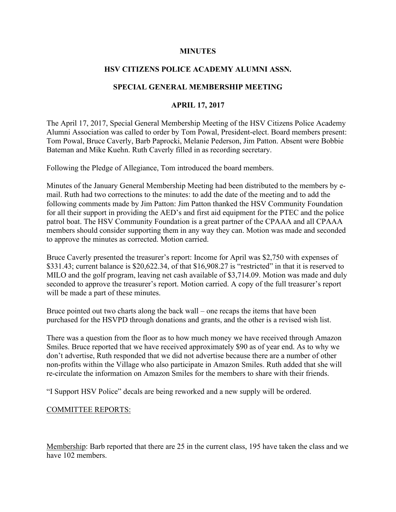#### **MINUTES**

## **HSV CITIZENS POLICE ACADEMY ALUMNI ASSN.**

### **SPECIAL GENERAL MEMBERSHIP MEETING**

### **APRIL 17, 2017**

The April 17, 2017, Special General Membership Meeting of the HSV Citizens Police Academy Alumni Association was called to order by Tom Powal, President-elect. Board members present: Tom Powal, Bruce Caverly, Barb Paprocki, Melanie Pederson, Jim Patton. Absent were Bobbie Bateman and Mike Kuehn. Ruth Caverly filled in as recording secretary.

Following the Pledge of Allegiance, Tom introduced the board members.

Minutes of the January General Membership Meeting had been distributed to the members by email. Ruth had two corrections to the minutes: to add the date of the meeting and to add the following comments made by Jim Patton: Jim Patton thanked the HSV Community Foundation for all their support in providing the AED's and first aid equipment for the PTEC and the police patrol boat. The HSV Community Foundation is a great partner of the CPAAA and all CPAAA members should consider supporting them in any way they can. Motion was made and seconded to approve the minutes as corrected. Motion carried.

Bruce Caverly presented the treasurer's report: Income for April was \$2,750 with expenses of \$331.43; current balance is \$20,622.34, of that \$16,908.27 is "restricted" in that it is reserved to MILO and the golf program, leaving net cash available of \$3,714.09. Motion was made and duly seconded to approve the treasurer's report. Motion carried. A copy of the full treasurer's report will be made a part of these minutes.

Bruce pointed out two charts along the back wall – one recaps the items that have been purchased for the HSVPD through donations and grants, and the other is a revised wish list.

There was a question from the floor as to how much money we have received through Amazon Smiles. Bruce reported that we have received approximately \$90 as of year end. As to why we don't advertise, Ruth responded that we did not advertise because there are a number of other non-profits within the Village who also participate in Amazon Smiles. Ruth added that she will re-circulate the information on Amazon Smiles for the members to share with their friends.

"I Support HSV Police" decals are being reworked and a new supply will be ordered.

#### COMMITTEE REPORTS:

Membership: Barb reported that there are 25 in the current class, 195 have taken the class and we have 102 members.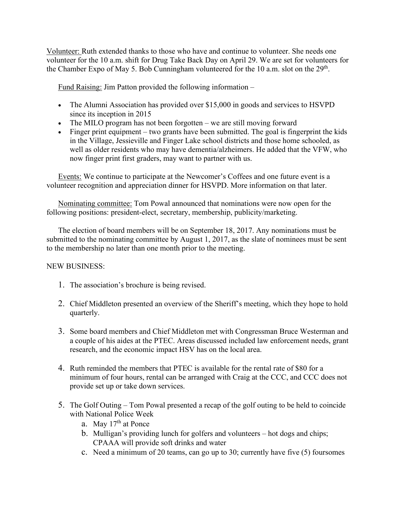Volunteer: Ruth extended thanks to those who have and continue to volunteer. She needs one volunteer for the 10 a.m. shift for Drug Take Back Day on April 29. We are set for volunteers for the Chamber Expo of May 5. Bob Cunningham volunteered for the 10 a.m. slot on the  $29<sup>th</sup>$ .

Fund Raising: Jim Patton provided the following information –

- The Alumni Association has provided over \$15,000 in goods and services to HSVPD since its inception in 2015
- The MILO program has not been forgotten we are still moving forward
- Finger print equipment two grants have been submitted. The goal is fingerprint the kids in the Village, Jessieville and Finger Lake school districts and those home schooled, as well as older residents who may have dementia/alzheimers. He added that the VFW, who now finger print first graders, may want to partner with us.

Events: We continue to participate at the Newcomer's Coffees and one future event is a volunteer recognition and appreciation dinner for HSVPD. More information on that later.

Nominating committee: Tom Powal announced that nominations were now open for the following positions: president-elect, secretary, membership, publicity/marketing.

The election of board members will be on September 18, 2017. Any nominations must be submitted to the nominating committee by August 1, 2017, as the slate of nominees must be sent to the membership no later than one month prior to the meeting.

# NEW BUSINESS:

- 1. The association's brochure is being revised.
- 2. Chief Middleton presented an overview of the Sheriff's meeting, which they hope to hold quarterly.
- 3. Some board members and Chief Middleton met with Congressman Bruce Westerman and a couple of his aides at the PTEC. Areas discussed included law enforcement needs, grant research, and the economic impact HSV has on the local area.
- 4. Ruth reminded the members that PTEC is available for the rental rate of \$80 for a minimum of four hours, rental can be arranged with Craig at the CCC, and CCC does not provide set up or take down services.
- 5. The Golf Outing Tom Powal presented a recap of the golf outing to be held to coincide with National Police Week
	- a. May  $17<sup>th</sup>$  at Ponce
	- b. Mulligan's providing lunch for golfers and volunteers hot dogs and chips; CPAAA will provide soft drinks and water
	- c. Need a minimum of 20 teams, can go up to 30; currently have five (5) foursomes